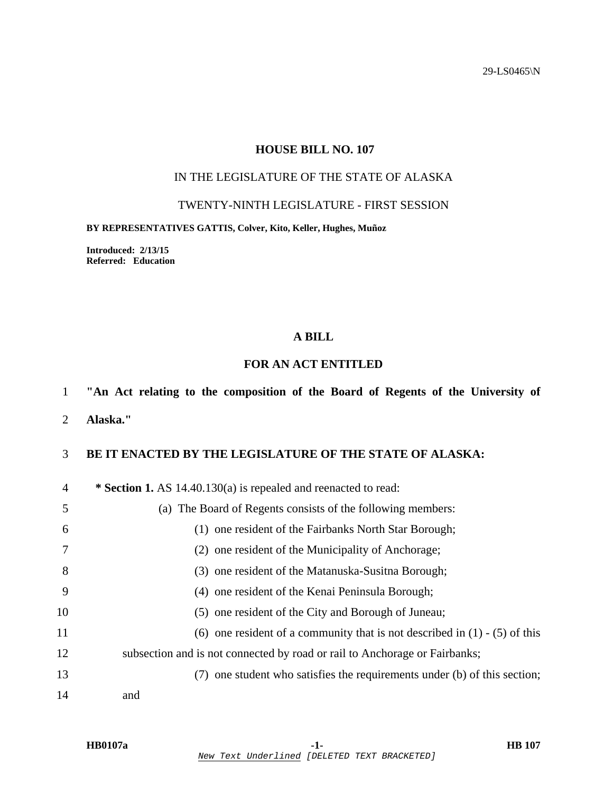29-LS0465\N

## **HOUSE BILL NO. 107**

# IN THE LEGISLATURE OF THE STATE OF ALASKA

## TWENTY-NINTH LEGISLATURE - FIRST SESSION

#### **BY REPRESENTATIVES GATTIS, Colver, Kito, Keller, Hughes, Muñoz**

**Introduced: 2/13/15 Referred: Education** 

### **A BILL**

# **FOR AN ACT ENTITLED**

## 1 **"An Act relating to the composition of the Board of Regents of the University of**

2 **Alaska."** 

# 3 **BE IT ENACTED BY THE LEGISLATURE OF THE STATE OF ALASKA:**

| $\overline{4}$ | * Section 1. AS 14.40.130(a) is repealed and reenacted to read:                |
|----------------|--------------------------------------------------------------------------------|
| 5              | (a) The Board of Regents consists of the following members:                    |
| 6              | (1) one resident of the Fairbanks North Star Borough;                          |
|                | (2) one resident of the Municipality of Anchorage;                             |
| 8              | (3) one resident of the Matanuska-Susitna Borough;                             |
| 9              | (4) one resident of the Kenai Peninsula Borough;                               |
| 10             | (5) one resident of the City and Borough of Juneau;                            |
| 11             | (6) one resident of a community that is not described in $(1)$ - $(5)$ of this |
| 12             | subsection and is not connected by road or rail to Anchorage or Fairbanks;     |
| 13             | (7) one student who satisfies the requirements under (b) of this section;      |
| 14             | and                                                                            |